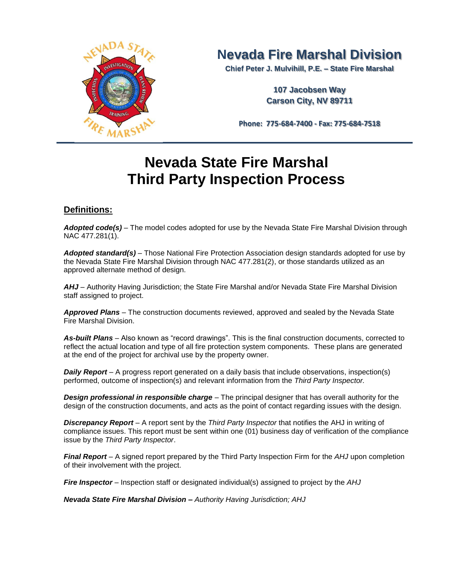

# **Nevada Fire Marshal Division**

**Chief Peter J. Mulvihill, P.E. – State Fire Marshal**

**107 Jacobsen Way Carson City, NV 89711**

**Phone: 775-684-7400 - Fax: 775-684-7518**

# **Nevada State Fire Marshal Third Party Inspection Process**

# **Definitions:**

*Adopted code(s)* – The model codes adopted for use by the Nevada State Fire Marshal Division through NAC 477.281(1).

*Adopted standard(s)* – Those National Fire Protection Association design standards adopted for use by the Nevada State Fire Marshal Division through NAC 477.281(2), or those standards utilized as an approved alternate method of design.

*AHJ* – Authority Having Jurisdiction; the State Fire Marshal and/or Nevada State Fire Marshal Division staff assigned to project.

*Approved Plans* – The construction documents reviewed, approved and sealed by the Nevada State Fire Marshal Division.

*As-built Plans* – Also known as "record drawings". This is the final construction documents, corrected to reflect the actual location and type of all fire protection system components. These plans are generated at the end of the project for archival use by the property owner.

**Daily Report** – A progress report generated on a daily basis that include observations, inspection(s) performed, outcome of inspection(s) and relevant information from the *Third Party Inspector.*

**Design professional in responsible charge** – The principal designer that has overall authority for the design of the construction documents, and acts as the point of contact regarding issues with the design.

**Discrepancy Report** – A report sent by the *Third Party Inspector* that notifies the AHJ in writing of compliance issues. This report must be sent within one (01) business day of verification of the compliance issue by the *Third Party Inspector*.

*Final Report* – A signed report prepared by the Third Party Inspection Firm for the *AHJ* upon completion of their involvement with the project.

*Fire Inspector* – Inspection staff or designated individual(s) assigned to project by the *AHJ*

*Nevada State Fire Marshal Division – Authority Having Jurisdiction; AHJ*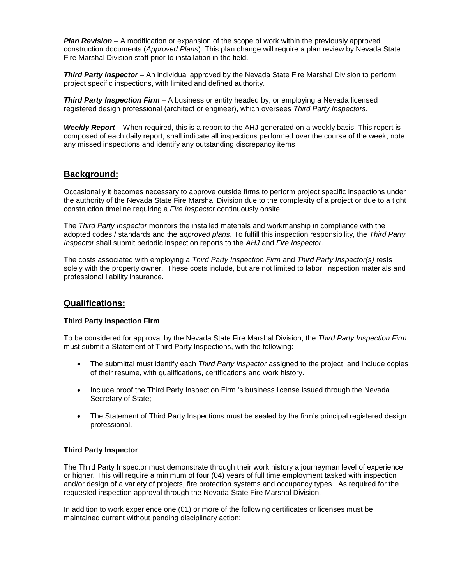*Plan Revision* – A modification or expansion of the scope of work within the previously approved construction documents (*Approved Plans*). This plan change will require a plan review by Nevada State Fire Marshal Division staff prior to installation in the field.

*Third Party Inspector* – An individual approved by the Nevada State Fire Marshal Division to perform project specific inspections, with limited and defined authority.

**Third Party Inspection Firm** – A business or entity headed by, or employing a Nevada licensed registered design professional (architect or engineer), which oversees *Third Party Inspectors*.

*Weekly Report* – When required, this is a report to the AHJ generated on a weekly basis. This report is composed of each daily report, shall indicate all inspections performed over the course of the week, note any missed inspections and identify any outstanding discrepancy items

# **Background:**

Occasionally it becomes necessary to approve outside firms to perform project specific inspections under the authority of the Nevada State Fire Marshal Division due to the complexity of a project or due to a tight construction timeline requiring a *Fire Inspector* continuously onsite.

The *Third Party Inspector* monitors the installed materials and workmanship in compliance with the adopted codes / standards and the *approved plans*. To fulfill this inspection responsibility, the *Third Party Inspector* shall submit periodic inspection reports to the *AHJ* and *Fire Inspector*.

The costs associated with employing a *Third Party Inspection Firm* and *Third Party Inspector(s)* rests solely with the property owner. These costs include, but are not limited to labor, inspection materials and professional liability insurance.

# **Qualifications:**

#### **Third Party Inspection Firm**

To be considered for approval by the Nevada State Fire Marshal Division, the *Third Party Inspection Firm* must submit a Statement of Third Party Inspections, with the following:

- The submittal must identify each *Third Party Inspector* assigned to the project, and include copies of their resume, with qualifications, certifications and work history.
- Include proof the Third Party Inspection Firm 's business license issued through the Nevada Secretary of State;
- The Statement of Third Party Inspections must be sealed by the firm's principal registered design professional.

#### **Third Party Inspector**

The Third Party Inspector must demonstrate through their work history a journeyman level of experience or higher. This will require a minimum of four (04) years of full time employment tasked with inspection and/or design of a variety of projects, fire protection systems and occupancy types. As required for the requested inspection approval through the Nevada State Fire Marshal Division.

In addition to work experience one (01) or more of the following certificates or licenses must be maintained current without pending disciplinary action: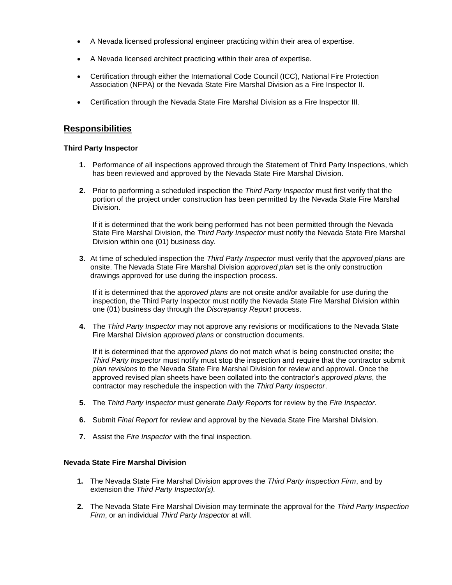- A Nevada licensed professional engineer practicing within their area of expertise.
- A Nevada licensed architect practicing within their area of expertise.
- Certification through either the International Code Council (ICC), National Fire Protection Association (NFPA) or the Nevada State Fire Marshal Division as a Fire Inspector II.
- Certification through the Nevada State Fire Marshal Division as a Fire Inspector III.

# **Responsibilities**

#### **Third Party Inspector**

- **1.** Performance of all inspections approved through the Statement of Third Party Inspections, which has been reviewed and approved by the Nevada State Fire Marshal Division.
- **2.** Prior to performing a scheduled inspection the *Third Party Inspector* must first verify that the portion of the project under construction has been permitted by the Nevada State Fire Marshal Division.

If it is determined that the work being performed has not been permitted through the Nevada State Fire Marshal Division, the *Third Party Inspector* must notify the Nevada State Fire Marshal Division within one (01) business day.

**3.** At time of scheduled inspection the *Third Party Inspector* must verify that the *approved plans* are onsite. The Nevada State Fire Marshal Division *approved plan* set is the only construction drawings approved for use during the inspection process.

If it is determined that the *approved plans* are not onsite and/or available for use during the inspection, the Third Party Inspector must notify the Nevada State Fire Marshal Division within one (01) business day through the *Discrepancy Report* process.

**4.** The *Third Party Inspector* may not approve any revisions or modifications to the Nevada State Fire Marshal Division *approved plans* or construction documents.

If it is determined that the *approved plans* do not match what is being constructed onsite; the *Third Party Inspector* must notify must stop the inspection and require that the contractor submit *plan revisions* to the Nevada State Fire Marshal Division for review and approval. Once the approved revised plan sheets have been collated into the contractor's *approved plans*, the contractor may reschedule the inspection with the *Third Party Inspector*.

- **5.** The *Third Party Inspector* must generate *Daily Reports* for review by the *Fire Inspector*.
- **6.** Submit *Final Report* for review and approval by the Nevada State Fire Marshal Division.
- **7.** Assist the *Fire Inspector* with the final inspection.

#### **Nevada State Fire Marshal Division**

- **1.** The Nevada State Fire Marshal Division approves the *Third Party Inspection Firm*, and by extension the *Third Party Inspector(s).*
- **2.** The Nevada State Fire Marshal Division may terminate the approval for the *Third Party Inspection Firm*, or an individual *Third Party Inspector* at will.